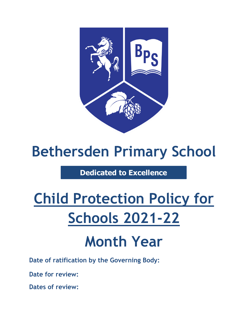

## **Bethersden Primary School**

### **Dedicated to Excellence**

# **Child Protection Policy for Schools 2021-22**

## **Month Year**

**Date of ratification by the Governing Body:**

**Date for review:**

**Dates of review:**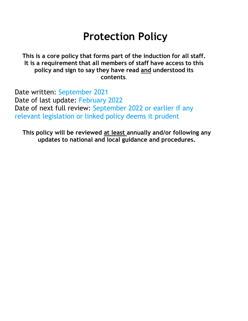### **Protection Policy**

**This is a core policy that forms part of the induction for all staff. It is a requirement that all members of staff have access to this policy and sign to say they have read and understood its contents**.

Date written: September 2021 Date of last update: February 2022 Date of next full review: September 2022 or earlier if any relevant legislation or linked policy deems it prudent

**This policy will be reviewed at least annually and/or following any updates to national and local guidance and procedures.**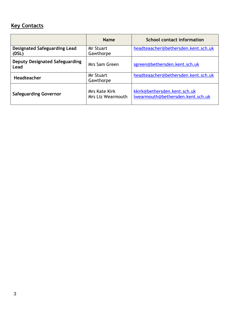#### **Key Contacts**

|                                               | <b>Name</b>                                      | <b>School contact information</b>                                 |
|-----------------------------------------------|--------------------------------------------------|-------------------------------------------------------------------|
| <b>Designated Safeguarding Lead</b><br>(DSL)  | <b>Mr Stuart</b><br>Gawthorpe                    | headteaacher@bethersden.kent.sch.uk                               |
| <b>Deputy Designated Safeguarding</b><br>Lead | Mrs Sam Green                                    | sgreen@bethersden.kent.sch.uk                                     |
| Headteacher                                   | <b>Mr Stuart</b><br>Gawthorpe                    | headteaacher@bethersden.kent.sch.uk                               |
| <b>Safeguarding Governor</b>                  | <b>Mrs Kate Kirk</b><br><b>Mrs Liz Wearmouth</b> | kkirk@bethersden.kent.sch.uk<br>lwearmouth@bethersden.kent.sch.uk |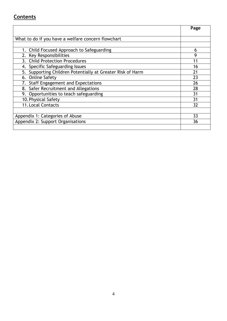#### **Contents**

|                                                               | Page |
|---------------------------------------------------------------|------|
|                                                               |      |
| What to do if you have a welfare concern flowchart            |      |
|                                                               |      |
| 1. Child Focused Approach to Safeguarding                     | 6    |
| 2. Key Responsibilities                                       | 9    |
| 3. Child Protection Procedures                                | 11   |
| Specific Safeguarding Issues<br>4.                            | 16   |
| Supporting Children Potentially at Greater Risk of Harm<br>5. | 21   |
| 6. Online Safety                                              | 23   |
| <b>Staff Engagement and Expectations</b><br>7.                | 26   |
| 8. Safer Recruitment and Allegations                          | 28   |
| 9. Opportunities to teach safeguarding                        | 31   |
| 10. Physical Safety                                           | 31   |
| <b>11. Local Contacts</b>                                     | 32   |
|                                                               |      |
| Appendix 1: Categories of Abuse                               | 33   |
| Appendix 2: Support Organisations                             | 36   |
|                                                               |      |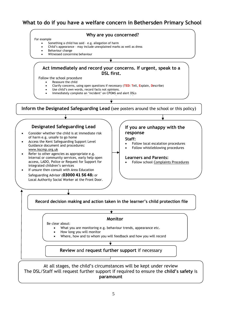#### **What to do if you have a welfare concern in Bethersden Primary School**



At all stages, the child's circumstances will be kept under review The DSL/Staff will request further support if required to ensure the **child's safety** is **paramount**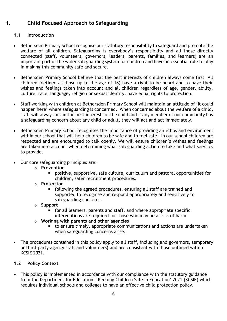#### **1. Child Focused Approach to Safeguarding**

#### **1.1 Introduction**

- Bethersden Primary School recognise our statutory responsibility to safeguard and promote the welfare of all children. Safeguarding is everybody's responsibility and all those directly connected (staff, volunteers, governors, leaders, parents, families, and learners) are an important part of the wider safeguarding system for children and have an essential role to play in making this community safe and secure.
- Bethersden Primary School believe that the best interests of children always come first. All children (defined as those up to the age of 18) have a right to be heard and to have their wishes and feelings taken into account and all children regardless of age, gender, ability, culture, race, language, religion or sexual identity, have equal rights to protection.
- Staff working with children at Bethersden Primary School will maintain an attitude of 'it could happen here' where safeguarding is concerned. When concerned about the welfare of a child, staff will always act in the best interests of the child and if any member of our community has a safeguarding concern about any child or adult, they will act and act immediately.
- Bethersden Primary School recognises the importance of providing an ethos and environment within our school that will help children to be safe and to feel safe. In our school children are respected and are encouraged to talk openly. We will ensure children's wishes and feelings are taken into account when determining what safeguarding action to take and what services to provide.
- Our core safeguarding principles are:
	- o **Prevention**
		- positive, supportive, safe culture, curriculum and pastoral opportunities for children, safer recruitment procedures.
	- o **Protection**
		- following the agreed procedures, ensuring all staff are trained and supported to recognise and respond appropriately and sensitively to safeguarding concerns.
	- o **Support**
		- for all learners, parents and staff, and where appropriate specific interventions are required for those who may be at risk of harm.
	- o **Working with parents and other agencies**
		- to ensure timely, appropriate communications and actions are undertaken when safeguarding concerns arise.
- The procedures contained in this policy apply to all staff, including and governors, temporary or third-party agency staff and volunteers) and are consistent with those outlined within KCSIE 2021.

#### **1.2 Policy Context**

• This policy is implemented in accordance with our compliance with the statutory guidance from the Department for Education, 'Keeping Children Safe in Education' 2021 (KCSIE) which requires individual schools and colleges to have an effective child protection policy.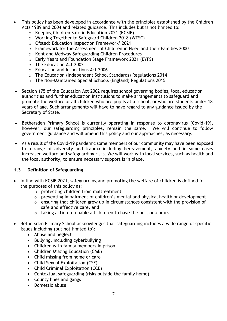- This policy has been developed in accordance with the principles established by the Children Acts 1989 and 2004 and related guidance. This includes but is not limited to:
	- o Keeping Children Safe in Education 2021 (KCSIE)
	- o Working Together to Safeguard Children 2018 (WTSC)
	- o Ofsted: Education Inspection Framework' 2021
	- o Framework for the Assessment of Children in Need and their Families 2000
	- o Kent and Medway Safeguarding Children Procedures
	- o Early Years and Foundation Stage Framework 2021 (EYFS)
	- o The Education Act 2002
	- o Education and Inspections Act 2006
	- o The Education (Independent School Standards) Regulations 2014
	- o The Non-Maintained Special Schools (England) Regulations 2015
- Section 175 of the Education Act 2002 requires school governing bodies, local education authorities and further education institutions to make arrangements to safeguard and promote the welfare of all children who are pupils at a school, or who are students under 18 years of age. Such arrangements will have to have regard to any guidance issued by the Secretary of State.
- Bethersden Primary School is currently operating in response to coronavirus (Covid-19), however, our safeguarding principles, remain the same. We will continue to follow government guidance and will amend this policy and our approaches, as necessary.
- As a result of the Covid-19 pandemic some members of our community may have been exposed to a range of adversity and trauma including bereavement, anxiety and in some cases increased welfare and safeguarding risks. We will work with local services, such as health and the local authority, to ensure necessary support is in place.

#### **1.3 Definition of Safeguarding**

- In line with KCSIE 2021, safeguarding and promoting the welfare of children is defined for the purposes of this policy as:
	- o protecting children from maltreatment
	- o preventing impairment of children's mental and physical health or development
	- o ensuring that children grow up in circumstances consistent with the provision of safe and effective care, and
	- o taking action to enable all children to have the best outcomes.
- Bethersden Primary School acknowledges that safeguarding includes a wide range of specific issues including (but not limited to):
	- Abuse and neglect
	- Bullying, including cyberbullying
	- Children with family members in prison
	- Children Missing Education (CME)
	- Child missing from home or care
	- Child Sexual Exploitation (CSE)
	- Child Criminal Exploitation (CCE)
	- Contextual safeguarding (risks outside the family home)
	- County lines and gangs
	- Domestic abuse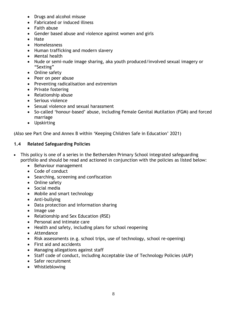- Drugs and alcohol misuse
- Fabricated or induced illness
- Faith abuse
- Gender based abuse and violence against women and girls
- Hate
- Homelessness
- Human trafficking and modern slavery
- Mental health
- Nude or semi-nude image sharing, aka youth produced/involved sexual imagery or "Sexting"
- Online safety
- Peer on peer abuse
- Preventing radicalisation and extremism
- Private fostering
- Relationship abuse
- Serious violence
- Sexual violence and sexual harassment
- So-called 'honour-based' abuse, including Female Genital Mutilation (FGM) and forced marriage
- Upskirting

(Also see Part One and Annex B within 'Keeping Children Safe in Education' 2021)

#### **1.4 Related Safeguarding Policies**

- This policy is one of a series in the Bethersden Primary School integrated safeguarding portfolio and should be read and actioned in conjunction with the policies as listed below:
	- Behaviour management
	- Code of conduct
	- Searching, screening and confiscation
	- Online safety
	- Social media
	- Mobile and smart technology
	- Anti-bullying
	- Data protection and information sharing
	- Image use
	- Relationship and Sex Education (RSE)
	- Personal and intimate care
	- Health and safety, including plans for school reopening
	- Attendance
	- Risk assessments (e.g. school trips, use of technology, school re-opening)
	- First aid and accidents
	- Managing allegations against staff
	- Staff code of conduct, including Acceptable Use of Technology Policies (AUP)
	- Safer recruitment
	- Whistleblowing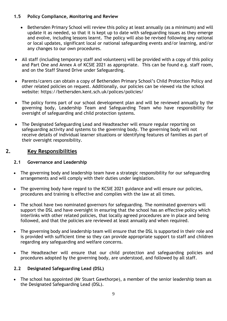#### **1.5 Policy Compliance, Monitoring and Review**

- Bethersden Primary School will review this policy at least annually (as a minimum) and will update it as needed, so that it is kept up to date with safeguarding issues as they emerge and evolve, including lessons learnt. The policy will also be revised following any national or local updates, significant local or national safeguarding events and/or learning, and/or any changes to our own procedures.
- All staff (including temporary staff and volunteers) will be provided with a copy of this policy and Part One and Annex A of KCSIE 2021 as appropriate. This can be found e.g. staff room, and on the Staff Shared Drive under Safeguarding.
- Parents/carers can obtain a copy of Bethersden Primary School's Child Protection Policy and other related policies on request. Additionally, our policies can be viewed via the school website: https://bethersden.kent.sch.uk/polices/policies/
- The policy forms part of our school development plan and will be reviewed annually by the governing body, Leadership Team and Safeguarding Team who have responsibility for oversight of safeguarding and child protection systems.
- The Designated Safeguarding Lead and Headteacher will ensure regular reporting on safeguarding activity and systems to the governing body. The governing body will not receive details of individual learner situations or identifying features of families as part of their oversight responsibility.

#### **2. Key Responsibilities**

#### **2.1 Governance and Leadership**

- The governing body and leadership team have a strategic responsibility for our safeguarding arrangements and will comply with their duties under legislation.
- The governing body have regard to the KCSIE 2021 guidance and will ensure our policies, procedures and training is effective and complies with the law at all times.
- The school have two nominated governors for safeguarding. The nominated governors will support the DSL and have oversight in ensuring that the school has an effective policy which interlinks with other related policies, that locally agreed procedures are in place and being followed, and that the policies are reviewed at least annually and when required.
- The governing body and leadership team will ensure that the DSL is supported in their role and is provided with sufficient time so they can provide appropriate support to staff and children regarding any safeguarding and welfare concerns.
- The Headteacher will ensure that our child protection and safeguarding policies and procedures adopted by the governing body, are understood, and followed by all staff.

#### **2.2 Designated Safeguarding Lead (DSL)**

• The school has appointed (Mr Stuart Gawthorpe), a member of the senior leadership team as the Designated Safeguarding Lead (DSL).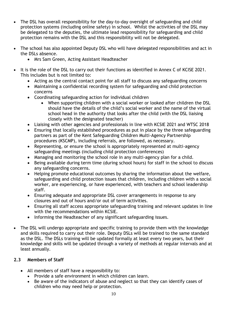- The DSL has overall responsibility for the day-to-day oversight of safeguarding and child protection systems (including online safety) in school. Whilst the activities of the DSL may be delegated to the deputies, the ultimate lead responsibility for safeguarding and child protection remains with the DSL and this responsibility will not be delegated.
- The school has also appointed Deputy DSL who will have delegated responsibilities and act in the DSLs absence.
	- Mrs Sam Green, Acting Assistant Headteacher
- It is the role of the DSL to carry out their functions as identified in Annex C of KCISE 2021. This includes but is not limited to:
	- Acting as the central contact point for all staff to discuss any safeguarding concerns
	- Maintaining a confidential recording system for safeguarding and child protection concerns
	- Coordinating safeguarding action for individual children
		- When supporting children with a social worker or looked after children the DSL should have the details of the child's social worker and the name of the virtual school head in the authority that looks after the child (with the DSL liaising closely with the designated teacher)
	- Liaising with other agencies and professionals in line with KCSIE 2021 and WTSC 2018
	- Ensuring that locally established procedures as put in place by the three safeguarding partners as part of the Kent Safeguarding Children Multi-Agency Partnership procedures (KSCMP), including referrals, are followed, as necessary.
	- Representing, or ensure the school is appropriately represented at multi-agency safeguarding meetings (including child protection conferences)
	- Managing and monitoring the school role in any multi-agency plan for a child.
	- Being available during term time (during school hours) for staff in the school to discuss any safeguarding concerns.
	- Helping promote educational outcomes by sharing the information about the welfare, safeguarding and child protection issues that children, including children with a social worker, are experiencing, or have experienced, with teachers and school leadership staff.
	- Ensuring adequate and appropriate DSL cover arrangements in response to any closures and out of hours and/or out of term activities.
	- Ensuring all staff access appropriate safeguarding training and relevant updates in line with the recommendations within KCSIE.
	- Informing the Headteacher of any significant safeguarding issues.
- The DSL will undergo appropriate and specific training to provide them with the knowledge and skills required to carry out their role. Deputy DSLs will be trained to the same standard as the DSL. The DSLs training will be updated formally at least every two years, but their knowledge and skills will be updated through a variety of methods at regular intervals and at least annually.

#### **2.3 Members of Staff**

- All members of staff have a responsibility to:
	- Provide a safe environment in which children can learn.
	- Be aware of the indicators of abuse and neglect so that they can identify cases of children who may need help or protection.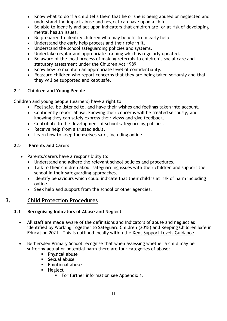- Know what to do if a child tells them that he or she is being abused or neglected and understand the impact abuse and neglect can have upon a child.
- Be able to identify and act upon indicators that children are, or at risk of developing mental health issues.
- Be prepared to identify children who may benefit from early help.
- Understand the early help process and their role in it.
- Understand the school safeguarding policies and systems.
- Undertake regular and appropriate training which is regularly updated.
- Be aware of the local process of making referrals to children's social care and statutory assessment under the Children Act 1989.
- Know how to maintain an appropriate level of confidentiality.
- Reassure children who report concerns that they are being taken seriously and that they will be supported and kept safe.

#### **2.4 Children and Young People**

Children and young people (learners) have a right to:

- Feel safe, be listened to, and have their wishes and feelings taken into account.
- Confidently report abuse, knowing their concerns will be treated seriously, and knowing they can safely express their views and give feedback.
- Contribute to the development of school safeguarding policies.
- Receive help from a trusted adult.
- Learn how to keep themselves safe, including online.

#### **2.5 Parents and Carers**

- Parents/carers have a responsibility to:
	- Understand and adhere the relevant school policies and procedures.
	- Talk to their children about safeguarding issues with their children and support the school in their safeguarding approaches.
	- Identify behaviours which could indicate that their child is at risk of harm including online.
	- Seek help and support from the school or other agencies.

#### **3. Child Protection Procedures**

#### **3.1 Recognising Indicators of Abuse and Neglect**

- All staff are made aware of the definitions and indicators of abuse and neglect as identified by Working Together to Safeguard Children (2018) and Keeping Children Safe in Education 2021. This is outlined locally within the [Kent Support Levels Guidance.](https://www.kscmp.org.uk/guidance/kent-support-levels-guidance)
- Bethersden Primary School recognise that when assessing whether a child may be suffering actual or potential harm there are four categories of abuse:
	- Physical abuse
	- Sexual abuse
	- **Emotional abuse**
	- Neglect
		- For further information see Appendix 1.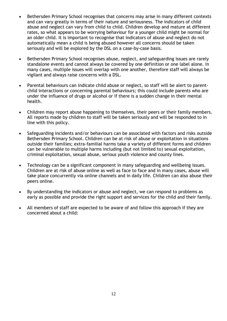- Bethersden Primary School recognises that concerns may arise in many different contexts and can vary greatly in terms of their nature and seriousness. The indicators of child abuse and neglect can vary from child to child. Children develop and mature at different rates, so what appears to be worrying behaviour for a younger child might be normal for an older child. It is important to recognise that indicators of abuse and neglect do not automatically mean a child is being abused however all concerns should be taken seriously and will be explored by the DSL on a case-by-case basis.
- Bethersden Primary School recognises abuse, neglect, and safeguarding issues are rarely standalone events and cannot always be covered by one definition or one label alone. In many cases, multiple issues will overlap with one another, therefore staff will always be vigilant and always raise concerns with a DSL.
- Parental behaviours can indicate child abuse or neglect, so staff will be alert to parentchild interactions or concerning parental behaviours; this could include parents who are under the influence of drugs or alcohol or if there is a sudden change in their mental health.
- Children may report abuse happening to themselves, their peers or their family members. All reports made by children to staff will be taken seriously and will be responded to in line with this policy.
- Safeguarding incidents and/or behaviours can be associated with factors and risks outside Bethersden Primary School. Children can be at risk of abuse or exploitation in situations outside their families; extra-familial harms take a variety of different forms and children can be vulnerable to multiple harms including (but not limited to) sexual exploitation, criminal exploitation, sexual abuse, serious youth violence and county lines.
- Technology can be a significant component in many safeguarding and wellbeing issues. Children are at risk of abuse online as well as face to face and in many cases, abuse will take place concurrently via online channels and in daily life. Children can also abuse their peers online.
- By understanding the indicators or abuse and neglect, we can respond to problems as early as possible and provide the right support and services for the child and their family.
- All members of staff are expected to be aware of and follow this approach if they are concerned about a child: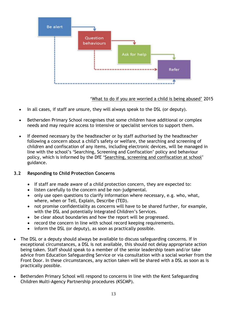

['What to do if you are worried a child is being abused'](https://www.gov.uk/government/publications/what-to-do-if-youre-worried-a-child-is-being-abused--2) 2015

- In all cases, if staff are unsure, they will always speak to the DSL (or deputy).
- Bethersden Primary School recognises that some children have additional or complex needs and may require access to intensive or specialist services to support them.
- If deemed necessary by the headteacher or by staff authorised by the headteacher following a concern about a child's safety or welfare, the searching and screening of children and confiscation of any items, including electronic devices, will be managed in line with the school's 'Searching, Screening and Confiscation' policy and behaviour policy, which is informed by the DfE '[Searching, screening and confiscation at school](https://www.gov.uk/government/publications/searching-screening-and-confiscation)' guidance.

#### **3.2 Responding to Child Protection Concerns**

- If staff are made aware of a child protection concern, they are expected to:
- listen carefully to the concern and be non-judgmental.
- only use open questions to clarify information where necessary, e.g. who, what, where, when or Tell, Explain, Describe (TED).
- not promise confidentiality as concerns will have to be shared further, for example, with the DSL and potentially Integrated Children's Services.
- be clear about boundaries and how the report will be progressed.
- record the concern in line with school record keeping requirements.
- inform the DSL (or deputy), as soon as practically possible.
- The DSL or a deputy should always be available to discuss safeguarding concerns. If in exceptional circumstances, a DSL is not available, this should not delay appropriate action being taken. Staff should speak to a member of the senior leadership team and/or take advice from Education Safeguarding Service or via consultation with a social worker from the Front Door. In these circumstances, any action taken will be shared with a DSL as soon as is practically possible.
- Bethersden Primary School will respond to concerns in line with the Kent Safeguarding Children Multi-Agency Partnership procedures (KSCMP).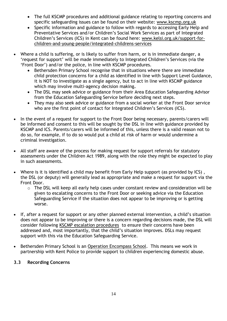- The full KSCMP procedures and additional guidance relating to reporting concerns and specific safeguarding issues can be found on their website: [www.kscmp.org.uk](http://www.kscmp.org.uk/)
- Specific information and guidance to follow with regards to accessing Early Help and Preventative Services and/or Children's Social Work Services as part of Integrated Children's Services (ICS) in Kent can be found here: [www.kelsi.org.uk/support-for](http://www.kelsi.org.uk/support-for-children-and-young-people/integrated-childrens-services)[children-and-young-people/integrated-childrens-services](http://www.kelsi.org.uk/support-for-children-and-young-people/integrated-childrens-services)
- Where a child is suffering, or is likely to suffer from harm, or is in immediate danger, a 'request for support' will be made immediately to Integrated Children's Services (via the 'Front Door') and/or the police, in line with KSCMP procedures.
	- Bethersden Primary School recognise that in situations where there are immediate child protection concerns for a child as identified in line with Support Level Guidance, it is NOT to investigate as a single agency, but to act in line with KSCMP guidance which may involve multi-agency decision making**.**
	- The DSL may seek advice or guidance from their Area Education Safeguarding Advisor from the Education Safeguarding Service before deciding next steps.
	- They may also seek advice or guidance from a social worker at the Front Door service who are the first point of contact for Integrated Children's Services (ICS).
- In the event of a request for support to the Front Door being necessary, parents/carers will be informed and consent to this will be sought by the DSL in line with guidance provided by KSCMP and ICS. Parents/carers will be informed of this, unless there is a valid reason not to do so, for example, if to do so would put a child at risk of harm or would undermine a criminal investigation.
- All staff are aware of the process for making request for support referrals for statutory assessments under the Children Act 1989, along with the role they might be expected to play in such assessments.
- Where is it is identified a child may benefit from Early Help support (as provided by ICS) , the DSL (or deputy) will generally lead as appropriate and make a request for support via the Front Door.
	- o The DSL will keep all early help cases under constant review and consideration will be given to escalating concerns to the Front Door or seeking advice via the Education Safeguarding Service if the situation does not appear to be improving or is getting worse.
- If, after a request for support or any other planned external intervention, a child's situation does not appear to be improving or there is a concern regarding decisions made, the DSL will consider following [KSCMP escalation procedures](https://www.proceduresonline.com/kentandmedway/chapters/p_resolution.html) to ensure their concerns have been addressed and, most importantly, that the child's situation improves. DSLs may request support with this via the Education Safeguarding Service.
- Bethersden Primary School is an [Operation Encompass School.](https://www.operationencompass.org/) This means we work in partnership with Kent Police to provide support to children experiencing domestic abuse.

#### **3.3 Recording Concerns**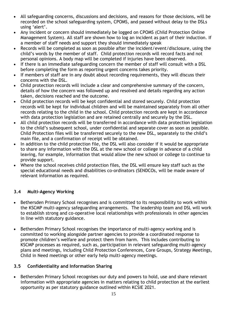- All safeguarding concerns, discussions and decisions, and reasons for those decisions, will be recorded on the school safeguarding system, CPOMS, and passed without delay to the DSLs using 'alert'.
- Any incident or concern should immediately be logged on CPOMS (Child Protection Online Management System). All staff are shown how to log an incident as part of their induction. If a member of staff needs and support they should immediately speak
- Records will be completed as soon as possible after the incident/event/disclosure, using the child's words by the member of staff. Child protection records will record facts and not personal opinions. A body map will be completed if injuries have been observed.
- If there is an immediate safeguarding concern the member of staff will consult with a DSL before completing the form as reporting urgent concerns takes priority.
- If members of staff are in any doubt about recording requirements, they will discuss their concerns with the DSL.
- Child protection records will include a clear and comprehensive summary of the concern, details of how the concern was followed up and resolved and details regarding any action taken, decisions reached and the outcome.
- Child protection records will be kept confidential and stored securely. Child protection records will be kept for individual children and will be maintained separately from all other records relating to the child in the school. Child protection records are kept in accordance with data protection legislation and are retained centrally and securely by the DSL.
- All child protection records will be transferred in accordance with data protection legislation to the child's subsequent school, under confidential and separate cover as soon as possible. Child Protection files will be transferred securely to the new DSL, separately to the child's main file, and a confirmation of receipt will be obtained.
- In addition to the child protection file, the DSL will also consider if it would be appropriate to share any information with the DSL at the new school or college in advance of a child leaving, for example, information that would allow the new school or college to continue to provide support.
- Where the school receives child protection files, the DSL will ensure key staff such as the special educational needs and disabilities co-ordinators (SENDCOs, will be made aware of relevant information as required.

#### **3.4 Multi-Agency Working**

- Bethersden Primary School recognises and is committed to its responsibility to work within the KSCMP multi-agency safeguarding arrangements. The leadership team and DSL will work to establish strong and co-operative local relationships with professionals in other agencies in line with statutory guidance.
- Bethersden Primary School recognises the importance of multi-agency working and is committed to working alongside partner agencies to provide a coordinated response to promote children's welfare and protect them from harm. This includes contributing to KSCMP processes as required, such as, participation in relevant safeguarding multi-agency plans and meetings, including Child Protection Conferences, Core Groups, Strategy Meetings, Child in Need meetings or other early help multi-agency meetings.

#### **3.5 Confidentiality and Information Sharing**

• Bethersden Primary School recognises our duty and powers to hold, use and share relevant information with appropriate agencies in matters relating to child protection at the earliest opportunity as per statutory guidance outlined within KCSIE 2021.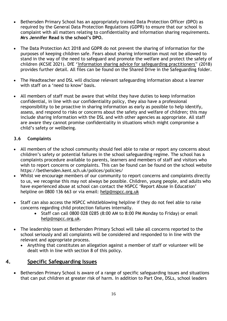- Bethersden Primary School has an appropriately trained Data Protection Officer (DPO) as required by the General Data Protection Regulations (GDPR) to ensure that our school is complaint with all matters relating to confidentiality and information sharing requirements. **Mrs Jennifer Read is the school's DPO.**
- The Data Protection Act 2018 and GDPR do not prevent the sharing of information for the purposes of keeping children safe. Fears about sharing information must not be allowed to stand in the way of the need to safeguard and promote the welfare and protect the safety of children (KCSIE 2021). DfE '['Information sharing advice for safeguarding practitioners'](https://www.gov.uk/government/publications/safeguarding-practitioners-information-sharing-advice)' (2018) provides further detail. All files can be found on the Shared Drive in the Safeguarding folder.
- The Headteacher and DSL will disclose relevant safeguarding information about a learner with staff on a 'need to know' basis.
- All members of staff must be aware that whilst they have duties to keep information confidential, in line with our confidentiality policy, they also have a professional responsibility to be proactive in sharing information as early as possible to help identify, assess, and respond to risks or concerns about the safety and welfare of children; this may include sharing information with the DSL and with other agencies as appropriate. All staff are aware they cannot promise confidentiality in situations which might compromise a child's safety or wellbeing.

#### **3.6 Complaints**

- All members of the school community should feel able to raise or report any concerns about children's safety or potential failures in the school safeguarding regime. The school has a complaints procedure available to parents, learners and members of staff and visitors who wish to report concerns or complaints. This can be found can be found on the school website https://bethersden.kent.sch.uk/polices/policies/
- Whilst we encourage members of our community to report concerns and complaints directly to us, we recognise this may not always be possible. Children, young people, and adults who have experienced abuse at school can contact the NSPCC 'Report Abuse in Education' helpline on [0800 136 663](tel:0800%20136%20663) or via email: [help@nspcc.org.uk](mailto:help@nspcc.org.uk)
- Staff can also access the NSPCC whistleblowing helpline if they do not feel able to raise concerns regarding child protection failures internally.
	- Staff can call 0800 028 0285 (8:00 AM to 8:00 PM Monday to Friday) or email [help@nspcc.org.uk.](mailto:help@nspcc.org.uk)
- The leadership team at Bethersden Primary School will take all concerns reported to the school seriously and all complaints will be considered and responded to in line with the relevant and appropriate process.
	- Anything that constitutes an allegation against a member of staff or volunteer will be dealt with in line with section 8 of this policy.

#### **4. Specific Safeguarding Issues**

• Bethersden Primary School is aware of a range of specific safeguarding issues and situations that can put children at greater risk of harm. In addition to Part One, DSLs, school leaders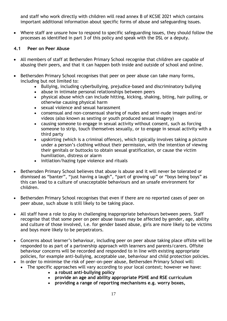and staff who work directly with children will read annex B of KCSIE 2021 which contains important additional information about specific forms of abuse and safeguarding issues.

• Where staff are unsure how to respond to specific safeguarding issues, they should follow the processes as identified in part 3 of this policy and speak with the DSL or a deputy.

#### **4.1 Peer on Peer Abuse**

- All members of staff at Bethersden Primary School recognise that children are capable of abusing their peers, and that it can happen both inside and outside of school and online.
- Bethersden Primary School recognises that peer on peer abuse can take many forms, including but not limited to:
	- Bullying, including cyberbullying, prejudice-based and discriminatory bullying
	- abuse in intimate personal relationships between peers
	- physical abuse which can include hitting, kicking, shaking, biting, hair pulling, or otherwise causing physical harm
	- sexual violence and sexual harassment
	- consensual and non-consensual sharing of nudes and semi-nude images and/or videos (also known as sexting or youth produced sexual imagery)
	- causing someone to engage in sexual activity without consent, such as forcing someone to strip, touch themselves sexually, or to engage in sexual activity with a third party
	- upskirting (which is a criminal offence), which typically involves taking a picture under a person's clothing without their permission, with the intention of viewing their genitals or buttocks to obtain sexual gratification, or cause the victim humiliation, distress or alarm
	- initiation/hazing type violence and rituals
- Bethersden Primary School believes that abuse is abuse and it will never be tolerated or dismissed as "banter", "just having a laugh", "part of growing up" or "boys being boys" as this can lead to a culture of unacceptable behaviours and an unsafe environment for children.
- Bethersden Primary School recognises that even if there are no reported cases of peer on peer abuse, such abuse is still likely to be taking place.
- All staff have a role to play in challenging inappropriate behaviours between peers. Staff recognise that that some peer on peer abuse issues may be affected by gender, age, ability and culture of those involved, i.e. for gender based abuse, girls are more likely to be victims and boys more likely to be perpetrators.
- Concerns about learner's behaviour, including peer on peer abuse taking place offsite will be responded to as part of a partnership approach with learners and parents/carers. Offsite behaviour concerns will be recorded and responded to in line with existing appropriate policies, for example anti-bullying, acceptable use, behaviour and child protection policies.
- In order to minimise the risk of peer-on-peer abuse, Bethersden Primary School will:
	- The specific approaches will vary according to your local context; however we have:
		- **a robust anti-bullying policy**
		- **provide an age and ability appropriate PSHE and RSE curriculum**
		- **providing a range of reporting mechanisms e.g. worry boxes,**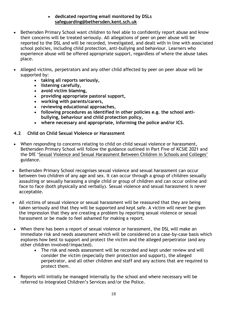#### • **dedicated reporting email monitored by DSLs [safeguarding@bethersden.kent.sch.uk](mailto:safeguarding@bethersden.kent.sch.uk)**

- Bethersden Primary School want children to feel able to confidently report abuse and know their concerns will be treated seriously. All allegations of peer on peer abuse will be reported to the DSL and will be recorded, investigated, and dealt with in line with associated school policies, including child protection, anti-bullying and behaviour. Learners who experience abuse will be offered appropriate support, regardless of where the abuse takes place.
- Alleged victims, perpetrators and any other child affected by peer on peer abuse will be supported by:
	- **taking all reports seriously,**
	- **listening carefully,**
	- **avoid victim blaming,**
	- **providing appropriate pastoral support,**
	- **working with parents/carers,**
	- **reviewing educational approaches,**
	- **following procedures as identified in other policies e.g. the school antibullying, behaviour and child protection policy,**
	- **where necessary and appropriate, informing the police and/or ICS***.*

#### **4.2 Child on Child Sexual Violence or Harassment**

- When responding to concerns relating to child on child sexual violence or harassment, Bethersden Primary School will follow the guidance outlined in Part Five of KCSIE 2021 and the DfE ['Sexual Violence and Sexual Harassment Between Children in Schools and Colleges'](https://www.gov.uk/government/publications/sexual-violence-and-sexual-harassment-between-children-in-schools-and-colleges) guidance.
- Bethersden Primary School recognises sexual violence and sexual harassment can occur between two children of any age and sex. It can occur through a group of children sexually assaulting or sexually harassing a single child or group of children and can occur online and face to face (both physically and verbally). Sexual violence and sexual harassment is never acceptable.
- All victims of sexual violence or sexual harassment will be reassured that they are being taken seriously and that they will be supported and kept safe. A victim will never be given the impression that they are creating a problem by reporting sexual violence or sexual harassment or be made to feel ashamed for making a report.
- When there has been a report of sexual violence or harassment, the DSL will make an immediate risk and needs assessment which will be considered on a case-by-case basis which explores how best to support and protect the victim and the alleged perpetrator (and any other children involved/impacted).
	- The risk and needs assessment will be recorded and kept under review and will consider the victim (especially their protection and support), the alleged perpetrator, and all other children and staff and any actions that are required to protect them.
- Reports will initially be managed internally by the school and where necessary will be referred to Integrated Children's Services and/or the Police.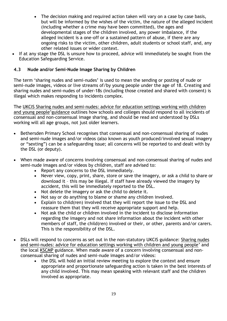- The decision making and required action taken will vary on a case by case basis, but will be informed by the wishes of the victim, the nature of the alleged incident (including whether a crime may have been committed), the ages and developmental stages of the children involved, any power imbalance, if the alleged incident is a one-off or a sustained pattern of abuse, if there are any ongoing risks to the victim, other children, adult students or school staff, and, any other related issues or wider context.
- If at any stage the DSL is unsure how to proceed, advice will immediately be sought from the Education Safeguarding Service.

#### **4.3 Nude and/or Semi-Nude Image Sharing by Children**

The term 'sharing nudes and semi-nudes' is used to mean the sending or posting of nude or semi-nude images, videos or live streams of/by young people under the age of 18. Creating and sharing nudes and semi-nudes of under-18s (including those created and shared with consent) is illegal which makes responding to incidents complex.

The UKCIS [Sharing nudes and semi-nudes: advice for education settings working with children](https://www.gov.uk/government/publications/sharing-nudes-and-semi-nudes-advice-for-education-settings-working-with-children-and-young-people)  [and young people](https://www.gov.uk/government/publications/sharing-nudes-and-semi-nudes-advice-for-education-settings-working-with-children-and-young-people)'guidance outlines how schools and colleges should respond to all incidents of consensual and non-consensual image sharing, and should be read and understood by DSLs working will all age groups, not just older learners.

- Bethersden Primary School recognises that consensual and non-consensual sharing of nudes and semi-nude images and/or videos (also known as youth produced/involved sexual imagery or "sexting") can be a safeguarding issue; all concerns will be reported to and dealt with by the DSL (or deputy).
- When made aware of concerns involving consensual and non-consensual sharing of nudes and semi-nude images and/or videos by children, staff are advised to:
	- Report any concerns to the DSL immediately.
	- Never view, copy, print, share, store or save the imagery, or ask a child to share or download it – this may be illegal. If staff have already viewed the imagery by accident, this will be immediately reported to the DSL.
	- Not delete the imagery or ask the child to delete it.
	- Not say or do anything to blame or shame any children involved.
	- Explain to child(ren) involved that they will report the issue to the DSL and reassure them that they will receive appropriate support and help.
	- Not ask the child or children involved in the incident to disclose information regarding the imagery and not share information about the incident with other members of staff, the child(ren) involved or their, or other, parents and/or carers. This is the responsibility of the DSL.
- DSLs will respond to concerns as set out in the non-statutory UKCIS guidance: [Sharing nudes](https://www.gov.uk/government/publications/sharing-nudes-and-semi-nudes-advice-for-education-settings-working-with-children-and-young-people)  [and semi-nudes: advice for education settings working with children and young people](https://www.gov.uk/government/publications/sharing-nudes-and-semi-nudes-advice-for-education-settings-working-with-children-and-young-people)' and the local [KSCMP](http://www.kscb.org.uk/guidance/online-safety) guidance. When made aware of a concern involving consensual and nonconsensual sharing of nudes and semi-nude images and/or videos:
	- the DSL will hold an initial review meeting to explore the context and ensure appropriate and proportionate safeguarding action is taken in the best interests of any child involved. This may mean speaking with relevant staff and the children involved as appropriate.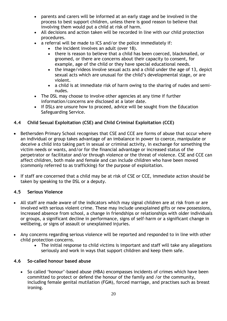- parents and carers will be informed at an early stage and be involved in the process to best support children, unless there is good reason to believe that involving them would put a child at risk of harm.
- All decisions and action taken will be recorded in line with our child protection procedures.
- a referral will be made to ICS and/or the police immediately if:
	- the incident involves an adult (over 18).
	- there is reason to believe that a child has been coerced, blackmailed, or groomed, or there are concerns about their capacity to consent, for example, age of the child or they have special educational needs.
	- the image/videos involve sexual acts and a child under the age of 13, depict sexual acts which are unusual for the child's developmental stage, or are violent.
	- a child is at immediate risk of harm owing to the sharing of nudes and seminudes.
- The DSL may choose to involve other agencies at any time if further information/concerns are disclosed at a later date.
- If DSLs are unsure how to proceed, advice will be sought from the Education Safeguarding Service.

#### **4.4 Child Sexual Exploitation (CSE) and Child Criminal Exploitation (CCE)**

- Bethersden Primary School recognises that CSE and CCE are forms of abuse that occur where an individual or group takes advantage of an imbalance in power to coerce, manipulate or deceive a child into taking part in sexual or criminal activity, in exchange for something the victim needs or wants, and/or for the financial advantage or increased status of the perpetrator or facilitator and/or through violence or the threat of violence. CSE and CCE can affect children, both male and female and can include children who have been moved (commonly referred to as trafficking) for the purpose of exploitation.
- If staff are concerned that a child may be at risk of CSE or CCE, immediate action should be taken by speaking to the DSL or a deputy.

#### **4.5 Serious Violence**

- All staff are made aware of the indicators which may signal children are at risk from or are involved with serious violent crime. These may include unexplained gifts or new possessions, increased absence from school, a change in friendships or relationships with older individuals or groups, a significant decline in performance, signs of self-harm or a significant change in wellbeing, or signs of assault or unexplained injuries.
- Any concerns regarding serious violence will be reported and responded to in line with other child protection concerns.
	- The initial response to child victims is important and staff will take any allegations seriously and work in ways that support children and keep them safe.

#### **4.6 So-called honour based abuse**

• So called 'honour'-based abuse (HBA) encompasses incidents of crimes which have been committed to protect or defend the honour of the family and /or the community, including female genital mutilation (FGM), forced marriage, and practises such as breast ironing.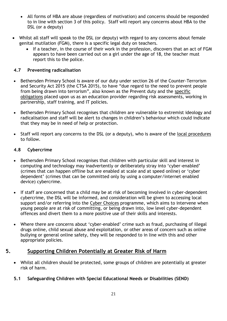- All forms of HBA are abuse (regardless of motivation) and concerns should be responded to in line with section 3 of this policy. Staff will report any concerns about HBA to the DSL (or a deputy)
- Whilst all staff will speak to the DSL (or deputy) with regard to any concerns about female genital mutilation (FGM), there is a specific legal duty on teachers.
	- If a teacher, in the course of their work in the profession, discovers that an act of FGM appears to have been carried out on a girl under the age of 18, the teacher must report this to the police.

#### **4.7 Preventing radicalisation**

- Bethersden Primary School is aware of our duty under section 26 of the Counter-Terrorism and Security Act 2015 (the CTSA 2015), to have "due regard to the need to prevent people from being drawn into terrorism", also known as the Prevent duty and the [specific](https://www.gov.uk/government/publications/prevent-duty-guidance/prevent-duty-guidance-for-further-education-institutions-in-england-and-wales)  [obligations](https://www.gov.uk/government/publications/prevent-duty-guidance/prevent-duty-guidance-for-further-education-institutions-in-england-and-wales) placed upon us as an education provider regarding risk assessments, working in partnership, staff training, and IT policies.
- Bethersden Primary School recognises that children are vulnerable to extremist ideology and radicalisation and staff will be alert to changes in children's behaviour which could indicate that they may be in need of help or protection.
- Staff will report any concerns to the DSL (or a deputy), who is aware of the [local procedures](https://www.kelsi.org.uk/child-protection-and-safeguarding/prevent-within-schools) to follow.

#### **4.8 Cybercrime**

- Bethersden Primary School recognises that children with particular skill and interest in computing and technology may inadvertently or deliberately stray into 'cyber-enabled' (crimes that can happen offline but are enabled at scale and at speed online) or 'cyber dependent' (crimes that can be committed only by using a computer/internet enabled device) cybercrime.
- If staff are concerned that a child may be at risk of becoming involved in cyber-dependent cybercrime, the DSL will be informed, and consideration will be given to accessing local support and/or referring into the [Cyber Choices](http://www.cyberchoices.uk/) programme, which aims to intervene when young people are at risk of committing, or being drawn into, low level cyber-dependent offences and divert them to a more positive use of their skills and interests.
- Where there are concerns about 'cyber-enabled' crime such as fraud, purchasing of illegal drugs online, child sexual abuse and exploitation, or other areas of concern such as online bullying or general online safety, they will be responded to in line with this and other appropriate policies.

#### **5. Supporting Children Potentially at Greater Risk of Harm**

• Whilst all children should be protected, some groups of children are potentially at greater risk of harm.

#### **5.1 Safeguarding Children with Special Educational Needs or Disabilities (SEND)**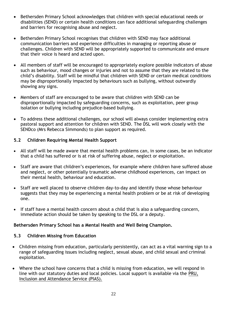- Bethersden Primary School acknowledges that children with special educational needs or disabilities (SEND) or certain health conditions can face additional safeguarding challenges and barriers for recognising abuse and neglect.
- Bethersden Primary School recognises that children with SEND may face additional communication barriers and experience difficulties in managing or reporting abuse or challenges. Children with SEND will be appropriately supported to communicate and ensure that their voice is heard and acted upon.
- All members of staff will be encouraged to appropriately explore possible indicators of abuse such as behaviour, mood changes or injuries and not to assume that they are related to the child's disability. Staff will be mindful that children with SEND or certain medical conditions may be disproportionally impacted by behaviours such as bullying, without outwardly showing any signs.
- Members of staff are encouraged to be aware that children with SEND can be disproportionally impacted by safeguarding concerns, such as exploitation, peer group isolation or bullying including prejudice-based bullying.
- To address these additional challenges, our school will always consider implementing extra pastoral support and attention for children with SEND. The DSL will work closely with the SENDco (Mrs Rebecca Simmonds) to plan support as required.

#### **5.2 Children Requiring Mental Health Support**

- All staff will be made aware that mental health problems can, in some cases, be an indicator that a child has suffered or is at risk of suffering abuse, neglect or exploitation.
- Staff are aware that children's experiences, for example where children have suffered abuse and neglect, or other potentially traumatic adverse childhood experiences, can impact on their mental health, behaviour and education.
- Staff are well placed to observe children day-to-day and identify those whose behaviour suggests that they may be experiencing a mental health problem or be at risk of developing one.
- If staff have a mental health concern about a child that is also a safeguarding concern, immediate action should be taken by speaking to the DSL or a deputy.

#### **Bethersden Primary School has a Mental Health and Well Being Champion.**

#### **5.3 Children Missing from Education**

- Children missing from education, particularly persistently, can act as a vital warning sign to a range of safeguarding issues including neglect, sexual abuse, and child sexual and criminal exploitation.
- Where the school have concerns that a child is missing from education, we will respond in line with our statutory duties and local policies. Local support is available via the [PRU,](https://www.kelsi.org.uk/pru-inclusion-and-attendance-service-pias)  [Inclusion and Attendance Service \(PIAS\).](https://www.kelsi.org.uk/pru-inclusion-and-attendance-service-pias)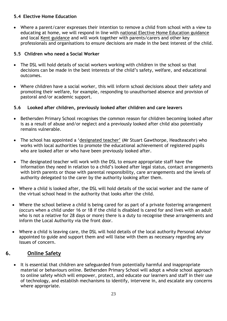#### **5.4 Elective Home Education**

• Where a parent/carer expresses their intention to remove a child from school with a view to educating at home, we will respond in line with [national Elective Home Education guidance](https://www.gov.uk/government/publications/elective-home-education) and local [Kent guidance](https://www.kent.gov.uk/education-and-children/educating-your-child-at-home) and will work together with parents/carers and other key professionals and organisations to ensure decisions are made in the best interest of the child.

#### **5.5 Children who need a Social Worker**

- The DSL will hold details of social workers working with children in the school so that decisions can be made in the best interests of the child's safety, welfare, and educational outcomes.
- Where children have a social worker, this will inform school decisions about their safety and promoting their welfare, for example, responding to unauthorised absence and provision of pastoral and/or academic support.

#### **5.6 Looked after children, previously looked after children and care leavers**

- Bethersden Primary School recognises the common reason for children becoming looked after is as a result of abuse and/or neglect and a previously looked after child also potentially remains vulnerable.
- The school has appointed a ['designated teacher'](https://www.gov.uk/government/publications/designated-teacher-for-looked-after-children) (Mr Stuart Gawthorpe, Headteacehr) who works with local authorities to promote the educational achievement of registered pupils who are looked after or who have been previously looked after.
- The designated teacher will work with the DSL to ensure appropriate staff have the information they need in relation to a child's looked after legal status, contact arrangements with birth parents or those with parental responsibility, care arrangements and the levels of authority delegated to the carer by the authority looking after them.
- Where a child is looked after, the DSL will hold details of the social worker and the name of the virtual school head in the authority that looks after the child.
- Where the school believe a child is being cared for as part of a private fostering arrangement (occurs when a child under 16 or 18 if the child is disabled is cared for and lives with an adult who is not a relative for 28 days or more) there is a duty to recognise these arrangements and inform the Local Authority via the front door.
- Where a child is leaving care, the DSL will hold details of the local authority Personal Advisor appointed to guide and support them and will liaise with them as necessary regarding any issues of concern.

#### **6. Online Safety**

• It is essential that children are safeguarded from potentially harmful and inappropriate material or behaviours online. Bethersden Primary School will adopt a whole school approach to online safety which will empower, protect, and educate our learners and staff in their use of technology, and establish mechanisms to identify, intervene in, and escalate any concerns where appropriate.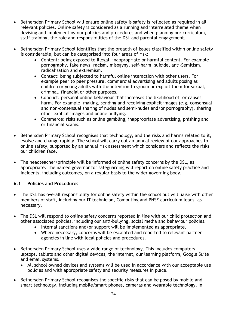- Bethersden Primary School will ensure online safety is safety is reflected as required in all relevant policies. Online safety is considered as a running and interrelated theme when devising and implementing our policies and procedures and when planning our curriculum, staff training, the role and responsibilities of the DSL and parental engagement.
- Bethersden Primary School identifies that the breadth of issues classified within online safety is considerable, but can be categorised into four areas of risk:
	- Content: being exposed to illegal, inappropriate or harmful content. For example pornography, fake news, racism, misogyny, self-harm, suicide, anti-Semitism, radicalisation and extremism.
	- Contact: being subjected to harmful online interaction with other users. For example peer to peer pressure, commercial advertising and adults posing as children or young adults with the intention to groom or exploit them for sexual, criminal, financial or other purposes.
	- Conduct: personal online behaviour that increases the likelihood of, or causes, harm. For example, making, sending and receiving explicit images (e.g. consensual and non-consensual sharing of nudes and semi-nudes and/or pornography), sharing other explicit images and online bullying.
	- Commerce: risks such as online gambling, inappropriate advertising, phishing and or financial scams.
- Bethersden Primary School recognises that technology, and the risks and harms related to it, evolve and change rapidly. The school will carry out an annual review of our approaches to online safety, supported by an annual risk assessment which considers and reflects the risks our children face.
- The headteacher/principle will be informed of online safety concerns by the DSL, as appropriate. The named governor for safeguarding will report on online safety practice and incidents, including outcomes, on a regular basis to the wider governing body.

#### **6.1 Policies and Procedures**

- The DSL has overall responsibility for online safety within the school but will liaise with other members of staff, including our IT technician, Computing and PHSE curriculum leads. as necessary.
- The DSL will respond to online safety concerns reported in line with our child protection and other associated policies, including our anti-bullying, social media and behaviour policies.
	- Internal sanctions and/or support will be implemented as appropriate.
	- Where necessary, concerns will be escalated and reported to relevant partner agencies in line with local policies and procedures.
- Bethersden Primary School uses a wide range of technology. This includes computers, laptops, tablets and other digital devices, the internet, our learning platform, Google Suite and email systems.
	- All school owned devices and systems will be used in accordance with our acceptable use policies and with appropriate safety and security measures in place.
- Bethersden Primary School recognises the specific risks that can be posed by mobile and smart technology, including mobile/smart phones, cameras and wearable technology. In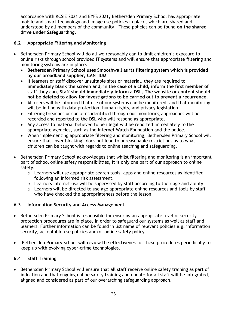accordance with KCSIE 2021 and EYFS 2021, Bethersden Primary School has appropriate mobile and smart technology and image use policies in place, which are shared and understood by all members of the community.These policies can be found **on the shared drive under Safeguarding.**

#### **6.2 Appropriate Filtering and Monitoring**

- Bethersden Primary School will do all we reasonably can to limit children's exposure to online risks through school provided IT systems and will ensure that appropriate filtering and monitoring systems are in place.
	- **Bethersden Primary School uses Smoothwall as its filtering system which is provided by our broadband supplier, CANTIUM**
	- If learners or staff discover unsuitable sites or material, they are required to **immediately blank the screen and, in the case of a child, inform the first member of staff they can. Staff should immediately inform a DSL. The website or content should not be deleted to allow for investigations to be carried out to prevent a recurrence.**
	- All users will be informed that use of our systems can be monitored, and that monitoring will be in line with data protection, human rights, and privacy legislation.
	- Filtering breaches or concerns identified through our monitoring approaches will be recorded and reported to the DSL who will respond as appropriate.
	- Any access to material believed to be illegal will be reported immediately to the appropriate agencies, such as the [Internet Watch Foundation](https://www.iwf.org.uk/) and the police.
	- When implementing appropriate filtering and monitoring, Bethersden Primary School will ensure that "over blocking" does not lead to unreasonable restrictions as to what children can be taught with regards to online teaching and safeguarding.
- Bethersden Primary School acknowledges that whilst filtering and monitoring is an important part of school online safety responsibilities, it is only one part of our approach to online safety.
	- o Learners will use appropriate search tools, apps and online resources as identified following an informed risk assessment.
	- o Learners internet use will be supervised by staff according to their age and ability.
	- o Learners will be directed to use age appropriate online resources and tools by staff who have checked the appropriateness before the lesson.

#### **6.3 Information Security and Access Management**

- Bethersden Primary School is responsible for ensuring an appropriate level of security protection procedures are in place, in order to safeguard our systems as well as staff and learners. Further information can be found in list name of relevant policies e.g. information security, acceptable use policies and/or online safety policy.
- Bethersden Primary School will review the effectiveness of these procedures periodically to keep up with evolving cyber-crime technologies.

#### **6.4 Staff Training**

• Bethersden Primary School will ensure that all staff receive online safety training as part of induction and that ongoing online safety training and update for all staff will be integrated, aligned and considered as part of our overarching safeguarding approach.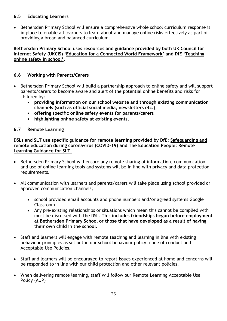#### **6.5 Educating Learners**

• Bethersden Primary School will ensure a comprehensive whole school curriculum response is in place to enable all learners to learn about and manage online risks effectively as part of providing a broad and balanced curriculum.

**Bethersden Primary School uses resources and guidance provided by both UK Council for Internet Safety (UKCIS) '[Education for a Connected World Framework](https://www.gov.uk/government/publications/education-for-a-connected-world)' and DfE '[Teaching](https://www.gov.uk/government/publications/teaching-online-safety-in-schools)  [online safety in school](https://www.gov.uk/government/publications/teaching-online-safety-in-schools)'.**

#### **6.6 Working with Parents/Carers**

- Bethersden Primary School will build a partnership approach to online safety and will support parents/carers to become aware and alert of the potential online benefits and risks for children by:
	- **providing information on our school website and through existing communication channels (such as official social media, newsletters etc.),**
	- **offering specific online safety events for parents/carers**
	- **highlighting online safety at existing events.**

#### **6.7 Remote Learning**

**DSLs and SLT use specific guidance for remote learning provided by DfE: [Safeguarding and](https://www.gov.uk/guidance/safeguarding-and-remote-education-during-coronavirus-covid-19)  [remote education during coronavirus \(COVID-19\)](https://www.gov.uk/guidance/safeguarding-and-remote-education-during-coronavirus-covid-19) and The Education People: [Remote](https://www.theeducationpeople.org/blog/safer-remote-learning-during-covid-19-information-for-school-leaders-and-dsls/)  [Learning Guidance for SLT.](https://www.theeducationpeople.org/blog/safer-remote-learning-during-covid-19-information-for-school-leaders-and-dsls/)**

- Bethersden Primary School will ensure any remote sharing of information, communication and use of online learning tools and systems will be in line with privacy and data protection requirements.
- All communication with learners and parents/carers will take place using school provided or approved communication channels;
	- school provided email accounts and phone numbers and/or agreed systems Google Classroom
	- Any pre-existing relationships or situations which mean this cannot be complied with must be discussed with the DSL. **This includes friendships begun before employment at Bethersden Primary School or those that have developed as a result of having their own child in the school.**
- Staff and learners will engage with remote teaching and learning in line with existing behaviour principles as set out in our school behaviour policy, code of conduct and Acceptable Use Policies.
- Staff and learners will be encouraged to report issues experienced at home and concerns will be responded to in line with our child protection and other relevant policies.
- When delivering remote learning, staff will follow our Remote Learning Acceptable Use Policy (AUP)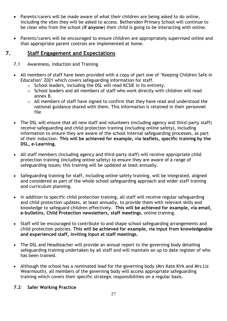- Parents/carers will be made aware of what their children are being asked to do online, including the sites they will be asked to access. Bethersden Primary School will continue to be clear who from the school (**if anyone**) their child is going to be interacting with online.
- Parents/carers will be encouraged to ensure children are appropriately supervised online and that appropriate parent controls are implemented at home.

#### **7. Staff Engagement and Expectations**

- 7.1 Awareness, Induction and Training
- All members of staff have been provided with a copy of part one of 'Keeping Children Safe in Education' 2021 which covers safeguarding information for staff.
	- o School leaders, including the DSL will read KCSIE in its entirety.
	- o School leaders and all members of staff who work directly with children will read annex B.
	- o All members of staff have signed to confirm that they have read and understood the national guidance shared with them. This information is retained in their personnel file
- The DSL will ensure that all new staff and volunteers (including agency and third-party staff) receive safeguarding and child protection training (including online safety), including information to ensure they are aware of the school internal safeguarding processes, as part of their induction. **This will be achieved for example, via leaflets, specific training by the DSL, e-Learning.**
- All staff members (including agency and third-party staff) will receive appropriate child protection training (including online safety) to ensure they are aware of a range of safeguarding issues; this training will be updated at least annually.
- Safeguarding training for staff, including online safety training, will be integrated, aligned and considered as part of the whole school safeguarding approach and wider staff training and curriculum planning.
- In addition to specific child protection training, all staff will receive regular safeguarding and child protection updates, at least annually, to provide them with relevant skills and knowledge to safeguard children effectively. **This will be achieved for example, via email, e-bulletins, Child Protection newsletters, staff meetings**, online training.
- Staff will be encouraged to contribute to and shape school safeguarding arrangements and child protection policies. **This will be achieved for example, via input from knowledgeable and experienced staff, inviting input at staff meetings.**
- The DSL and Headteacher will provide an annual report to the governing body detailing safeguarding training undertaken by all staff and will maintain an up to date register of who has been trained.
- Although the school has a nominated lead for the governing body (Mrs Kate Kirk and Mrs Liz Wearmouth), all members of the governing body will access appropriate safeguarding training which covers their specific strategic responsibilities on a regular basis.

#### **7.2 Safer Working Practice**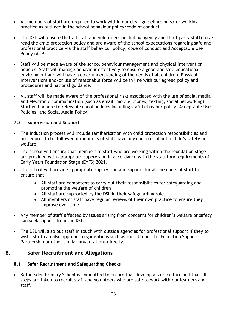- All members of staff are required to work within our clear guidelines on safer working practice as outlined in the school behaviour policy/code of conduct.
- The DSL will ensure that all staff and volunteers (including agency and third-party staff) have read the child protection policy and are aware of the school expectations regarding safe and professional practice via the staff behaviour policy, code of conduct and Acceptable Use Policy (AUP).
- Staff will be made aware of the school behaviour management and physical intervention policies. Staff will manage behaviour effectively to ensure a good and safe educational environment and will have a clear understanding of the needs of all children. Physical interventions and/or use of reasonable force will be in line with our agreed policy and procedures and national guidance.
- All staff will be made aware of the professional risks associated with the use of social media and electronic communication (such as email, mobile phones, texting, social networking). Staff will adhere to relevant school policies including staff behaviour policy, Acceptable Use Policies, and Social Media Policy.

#### **7.3 Supervision and Support**

- The induction process will include familiarisation with child protection responsibilities and procedures to be followed if members of staff have any concerns about a child's safety or welfare.
- The school will ensure that members of staff who are working within the foundation stage are provided with appropriate supervision in accordance with the statutory requirements of Early Years Foundation Stage (EYFS) 2021.
- The school will provide appropriate supervision and support for all members of staff to ensure that:
	- All staff are competent to carry out their responsibilities for safeguarding and promoting the welfare of children
	- All staff are supported by the DSL in their safeguarding role.
	- All members of staff have regular reviews of their own practice to ensure they improve over time.
- Any member of staff affected by issues arising from concerns for children's welfare or safety can seek support from the DSL.
- The DSL will also put staff in touch with outside agencies for professional support if they so wish. Staff can also approach organisations such as their Union, the Education Support Partnership or other similar organisations directly.

#### **8. Safer Recruitment and Allegations**

#### **8.1 Safer Recruitment and Safeguarding Checks**

• Bethersden Primary School is committed to ensure that develop a safe culture and that all steps are taken to recruit staff and volunteers who are safe to work with our learners and staff.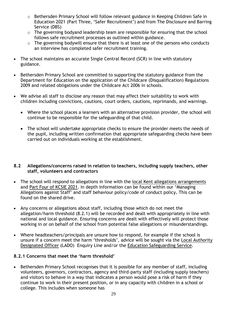- o Bethersden Primary School will follow relevant guidance in Keeping Children Safe in Education 2021 (Part Three, 'Safer Recruitment') and from The Disclosure and Barring Service (DBS)
- o The governing bodyand leadership team are responsible for ensuring that the school follows safe recruitment processes as outlined within guidance.
- o The governing bodywill ensure that there is at least one of the persons who conducts an interview has completed safer recruitment training.
- The school maintains an accurate Single Central Record (SCR) in line with statutory guidance.
- Bethersden Primary School are committed to supporting the statutory guidance from the Department for Education on the application of the Childcare (Disqualification) Regulations 2009 and related obligations under the Childcare Act 2006 in schools.
- We advise all staff to disclose any reason that may affect their suitability to work with children including convictions, cautions, court orders, cautions, reprimands, and warnings.
	- Where the school places a learners with an alternative provision provider, the school will continue to be responsible for the safeguarding of that child.
	- The school will undertake appropriate checks to ensure the provider meets the needs of the pupil, including written confirmation that appropriate safeguarding checks have been carried out on individuals working at the establishment.

#### **8.2 Allegations/concerns raised in relation to teachers, including supply teachers, other staff, volunteers and contractors**

- The school will respond to allegations in line with the [local Kent allegations arrangements](https://www.kscmp.org.uk/procedures/local-authority-designated-officer-lado) and [Part Four of KCSIE 2021](https://www.gov.uk/government/publications/keeping-children-safe-in-education--2). In depth information can be found within our 'Managing Allegations against Staff' and staff behaviour policy/code of conduct policy**.** This can be found on the shared drive.
- Any concerns or allegations about staff, including those which do not meet the allegation/harm threshold (8.2.1) will be recorded and dealt with appropriately in line with national and local guidance. Ensuring concerns are dealt with effectively will protect those working in or on behalf of the school from potential false allegations or misunderstandings.
- Where headteachers/principals are unsure how to respond, for example if the school is unsure if a concern meet the harm 'thresholds', advice will be sought via the [Local Authority](https://www.kscmp.org.uk/procedures/local-authority-designated-officer-lado)  [Designated Officer](https://www.kscmp.org.uk/procedures/local-authority-designated-officer-lado) (LADO) Enquiry Line and/or the [Education Safeguarding Service.](https://www.theeducationpeople.org/our-expertise/safeguarding/safeguarding-contacts/)

#### **8.2.1 Concerns that meet the 'harm threshold'**

• Bethersden Primary School recognises that it is possible for any member of staff, including volunteers, governors, contractors, agency and third-party staff (including supply teachers) and visitors to behave in a way that indicates a person would pose a risk of harm if they continue to work in their present position, or in any capacity with children in a school or college. This includes when someone has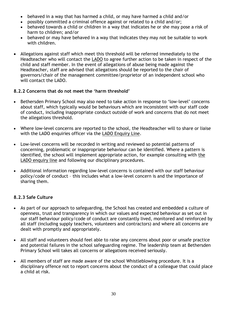- behaved in a way that has harmed a child, or may have harmed a child and/or
- possibly committed a criminal offence against or related to a child and/or;
- behaved towards a child or children in a way that indicates he or she may pose a risk of harm to children; and/or
- behaved or may have behaved in a way that indicates they may not be suitable to work with children.
- Allegations against staff which meet this threshold will be referred immediately to the Headteacher who will contact the [LADO](https://www.kscmp.org.uk/procedures/local-authority-designated-officer-lado) to agree further action to be taken in respect of the child and staff member. In the event of allegations of abuse being made against the Headteacher, staff are advised that allegations should be reported to the chair of governors/chair of the management committee/proprietor of an independent school who will contact the LADO.

#### **8.2.2 Concerns that do not meet the 'harm threshold'**

- Bethersden Primary School may also need to take action in response to 'low-level' concerns about staff, which typically would be behaviours which are inconsistent with our staff code of conduct, including inappropriate conduct outside of work and concerns that do not meet the allegations threshold.
- Where low-level concerns are reported to the school, the Headteacher will to share or liaise with the LADO enquiries officer via the [LADO Enquiry Line.](https://eur01.safelinks.protection.outlook.com/?url=https%3A%2F%2Fwww.kscmp.org.uk%2Fprocedures%2Flocal-authority-designated-officer-lado&data=04%7C01%7CAlison.Watling%40kent.gov.uk%7Cefd47327a4fa4b3a972708d950d61f12%7C3253a20dc7354bfea8b73e6ab37f5f90%7C0%7C0%7C637629703166084747%7CUnknown%7CTWFpbGZsb3d8eyJWIjoiMC4wLjAwMDAiLCJQIjoiV2luMzIiLCJBTiI6Ik1haWwiLCJXVCI6Mn0%3D%7C1000&sdata=gh4qmYZ5N3khjaixDrEVQntTOJ74wGAlZxO%2FQDEudf0%3D&reserved=0)
- Low-level concerns will be recorded in writing and reviewed so potential patterns of concerning, problematic or inappropriate behaviour can be identified. Where a pattern is identified, the school will implement appropriate action, for example consulting with [the](https://www.kscmp.org.uk/procedures/local-authority-designated-officer-lado)  [LADO enquiry line](https://www.kscmp.org.uk/procedures/local-authority-designated-officer-lado) and following our disciplinary procedures.
- Additional information regarding low-level concerns is contained with our staff behaviour policy/code of conduct – this includes what a low-level concern is and the importance of sharing them.

#### **8.2.3 Safe Culture**

- As part of our approach to safeguarding, the School has created and embedded a culture of openness, trust and transparency in which our values and expected behaviour as set out in our staff behaviour policy/code of conduct are constantly lived, monitored and reinforced by all staff (including supply teachers, volunteers and contractors) and where all concerns are dealt with promptly and appropriately.
- All staff and volunteers should feel able to raise any concerns about poor or unsafe practice and potential failures in the school safeguarding regime. The leadership team at Bethersden Primary School will takes all concerns or allegations received seriously.
- All members of staff are made aware of the school Whistleblowing procedure. It is a disciplinary offence not to report concerns about the conduct of a colleague that could place a child at risk.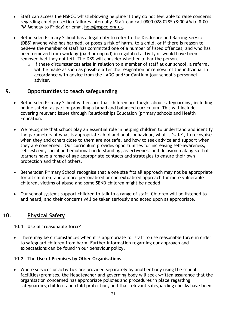- Staff can access the NSPCC whistleblowing helpline if they do not feel able to raise concerns regarding child protection failures internally. Staff can call 0800 028 0285 (8:00 AM to 8:00 PM Monday to Friday) or email [help@nspcc.org.uk.](mailto:help@nspcc.org.uk)
- Bethersden Primary School has a legal duty to refer to the Disclosure and Barring Service (DBS) anyone who has harmed, or poses a risk of harm, to a child, or if there is reason to believe the member of staff has committed one of a number of listed offences, and who has been removed from working (paid or unpaid) in regulated activity or would have been removed had they not left. The DBS will consider whether to bar the person.
	- o If these circumstances arise in relation to a member of staff at our school, a referral will be made as soon as possible after the resignation or removal of the individual in accordance with advice from the [LADO](https://www.kscmp.org.uk/procedures/local-authority-designated-officer-lado) and/or Cantium (our school's personnel adviser.

#### **9. Opportunities to teach safeguarding**

- Bethersden Primary School will ensure that children are taught about safeguarding, including online safety, as part of providing a broad and balanced curriculum. This will include covering relevant issues through Relationships Education (primary schools and Health Education.
- We recognise that school play an essential role in helping children to understand and identify the parameters of what is appropriate child and adult behaviour, what is 'safe', to recognise when they and others close to them are not safe, and how to seek advice and support when they are concerned. Our curriculum provides opportunities for increasing self-awareness, self-esteem, social and emotional understanding, assertiveness and decision making so that learners have a range of age appropriate contacts and strategies to ensure their own protection and that of others.
- Bethersden Primary School recognise that a one size fits all approach may not be appropriate for all children, and a more personalised or contextualised approach for more vulnerable children, victims of abuse and some SEND children might be needed.
- Our school systems support children to talk to a range of staff. Children will be listened to and heard, and their concerns will be taken seriously and acted upon as appropriate.

#### **10. Physical Safety**

#### **10.1 Use of 'reasonable force'**

• There may be circumstances when it is appropriate for staff to use reasonable force in order to safeguard children from harm. Further information regarding our approach and expectations can be found in our behaviour policy**.**

#### **10.2 The Use of Premises by Other Organisations**

• Where services or activities are provided separately by another body using the school facilities/premises, the Headteacher and governing body will seek written assurance that the organisation concerned has appropriate policies and procedures in place regarding safeguarding children and child protection, and that relevant safeguarding checks have been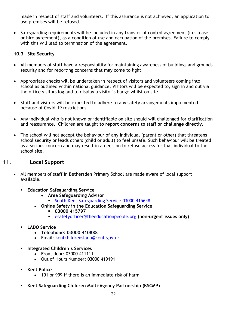made in respect of staff and volunteers. If this assurance is not achieved, an application to use premises will be refused.

• Safeguarding requirements will be included in any transfer of control agreement (i.e. lease or hire agreement), as a condition of use and occupation of the premises. Failure to comply with this will lead to termination of the agreement.

#### **10.3 Site Security**

- All members of staff have a responsibility for maintaining awareness of buildings and grounds security and for reporting concerns that may come to light.
- Appropriate checks will be undertaken in respect of visitors and volunteers coming into school as outlined within national guidance. Visitors will be expected to, sign in and out via the office visitors log and to display a visitor's badge whilst on site.
- Staff and visitors will be expected to adhere to any safety arrangements implemented because of Covid-19 restrictions.
- Any individual who is not known or identifiable on site should will challenged for clarification and reassurance. Children are taught **to report concerns to staff or challenge directly.**
- The school will not accept the behaviour of any individual (parent or other) that threatens school security or leads others (child or adult) to feel unsafe. Such behaviour will be treated as a serious concern and may result in a decision to refuse access for that individual to the school site.

#### **11. Local Support**

- All members of staff in Bethersden Primary School are made aware of local support available.
	- **Education Safeguarding Service** 
		- **Area Safeguarding Advisor** 
			- [South](https://www.theeducationpeople.org/our-expertise/safeguarding/safeguarding-contacts/) Kent [Safeguarding](https://www.kelsi.org.uk/child-protection-and-safeguarding/safeguarding-contacts) Service 03000 415648
		- **Online Safety in the Education Safeguarding Service**
			- **03000 415797**
				- [esafetyofficer@theeducationpeople.org](mailto:esafetyofficer@theeducationpeople.org) **(non-urgent issues only)**
	- **LADO Service** 
		- **Telephone: 03000 410888**
		- Email: [kentchildrenslado@kent.gov.uk](mailto:kentchildrenslado@kent.gov.uk)
	- **Integrated Children's Services** 
		- Front door: 03000 411111
		- Out of Hours Number: 03000 419191
	- **Kent Police** 
		- 101 or 999 if there is an immediate risk of harm
	- **Kent Safeguarding Children Multi-Agency Partnership (KSCMP)**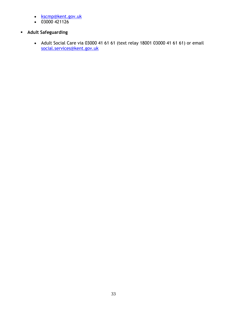- [kscmp@kent.gov.uk](mailto:kscmp@kent.gov.uk)
- $\bullet$  03000 421126
- **Adult Safeguarding**
	- Adult Social Care via 03000 41 61 61 (text relay 18001 03000 41 61 61) or email [social.services@kent.gov.uk](mailto:social.services@kent.gov.uk)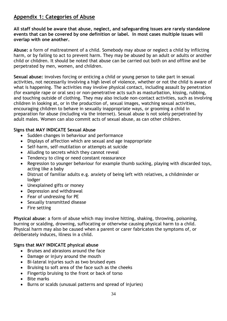#### **Appendix 1: Categories of Abuse**

**All staff should be aware that abuse, neglect, and safeguarding issues are rarely standalone events that can be covered by one definition or label. In most cases multiple issues will overlap with one another.**

**Abuse:** a form of maltreatment of a child. Somebody may abuse or neglect a child by inflicting harm, or by failing to act to prevent harm. They may be abused by an adult or adults or another child or children. It should be noted that abuse can be carried out both on and offline and be perpetrated by men, women, and children.

**Sexual abuse:** involves forcing or enticing a child or young person to take part in sexual activities, not necessarily involving a high level of violence, whether or not the child is aware of what is happening. The activities may involve physical contact, including assault by penetration (for example rape or oral sex) or non-penetrative acts such as masturbation, kissing, rubbing, and touching outside of clothing. They may also include non-contact activities, such as involving children in looking at, or in the production of, sexual images, watching sexual activities, encouraging children to behave in sexually inappropriate ways, or grooming a child in preparation for abuse (including via the internet). Sexual abuse is not solely perpetrated by adult males. Women can also commit acts of sexual abuse, as can other children.

#### **Signs that MAY INDICATE Sexual Abuse**

- Sudden changes in behaviour and performance
- Displays of affection which are sexual and age inappropriate
- Self-harm, self-mutilation or attempts at suicide
- Alluding to secrets which they cannot reveal
- Tendency to cling or need constant reassurance
- Regression to younger behaviour for example thumb sucking, playing with discarded toys, acting like a baby
- Distrust of familiar adults e.g. anxiety of being left with relatives, a childminder or lodger
- Unexplained gifts or money
- Depression and withdrawal
- Fear of undressing for PE
- Sexually transmitted disease
- Fire setting

**Physical abuse**: a form of abuse which may involve hitting, shaking, throwing, poisoning, burning or scalding, drowning, suffocating or otherwise causing physical harm to a child. Physical harm may also be caused when a parent or carer fabricates the symptoms of, or deliberately induces, illness in a child.

#### **Signs that MAY INDICATE physical abuse**

- Bruises and abrasions around the face
- Damage or injury around the mouth
- Bi-lateral injuries such as two bruised eyes
- Bruising to soft area of the face such as the cheeks
- Fingertip bruising to the front or back of torso
- Bite marks
- Burns or scalds (unusual patterns and spread of injuries)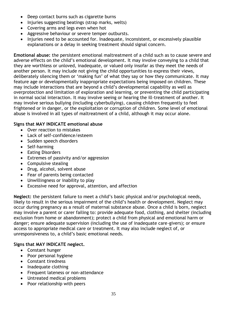- Deep contact burns such as cigarette burns
- Injuries suggesting beatings (strap marks, welts)
- Covering arms and legs even when hot
- Aggressive behaviour or severe temper outbursts.
- Injuries need to be accounted for. Inadequate, inconsistent, or excessively plausible explanations or a delay in seeking treatment should signal concern.

**Emotional abuse:** the persistent emotional maltreatment of a child such as to cause severe and adverse effects on the child's emotional development. It may involve conveying to a child that they are worthless or unloved, inadequate, or valued only insofar as they meet the needs of another person. It may include not giving the child opportunities to express their views, deliberately silencing them or 'making fun' of what they say or how they communicate. It may feature age or developmentally inappropriate expectations being imposed on children. These may include interactions that are beyond a child's developmental capability as well as overprotection and limitation of exploration and learning, or preventing the child participating in normal social interaction. It may involve seeing or hearing the ill-treatment of another. It may involve serious bullying (including cyberbullying), causing children frequently to feel frightened or in danger, or the exploitation or corruption of children. Some level of emotional abuse is involved in all types of maltreatment of a child, although it may occur alone.

#### **Signs that MAY INDICATE emotional abuse**

- Over reaction to mistakes
- Lack of self-confidence/esteem
- Sudden speech disorders
- Self-harming
- Eating Disorders
- Extremes of passivity and/or aggression
- Compulsive stealing
- Drug, alcohol, solvent abuse
- Fear of parents being contacted
- Unwillingness or inability to play
- Excessive need for approval, attention, and affection

**Neglect:** the persistent failure to meet a child's basic physical and/or psychological needs, likely to result in the serious impairment of the child's health or development. Neglect may occur during pregnancy as a result of maternal substance abuse. Once a child is born, neglect may involve a parent or carer failing to: provide adequate food, clothing, and shelter (including exclusion from home or abandonment); protect a child from physical and emotional harm or danger; ensure adequate supervision (including the use of inadequate care-givers); or ensure access to appropriate medical care or treatment. It may also include neglect of, or unresponsiveness to, a child's basic emotional needs.

#### **Signs that MAY INDICATE neglect.**

- Constant hunger
- Poor personal hygiene
- Constant tiredness
- Inadequate clothing
- Frequent lateness or non-attendance
- Untreated medical problems
- Poor relationship with peers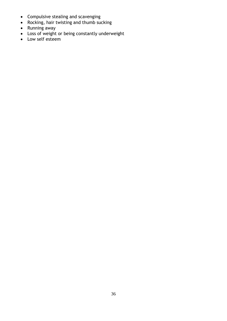- Compulsive stealing and scavenging
- Rocking, hair twisting and thumb sucking
- Running away
- Loss of weight or being constantly underweight
- Low self esteem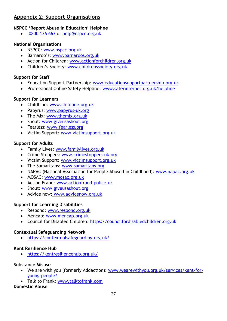#### **Appendix 2: Support Organisations**

#### **NSPCC 'Report Abuse in Education' Helpline**

• [0800 136 663](tel:0800%20136%20663) or [help@nspcc.org.uk](mailto:help@nspcc.org.uk)

#### **National Organisations**

- NSPCC: [www.nspcc.org.uk](http://www.nspcc.org.uk/)
- Barnardo's: [www.barnardos.org.uk](http://www.barnardos.org.uk/)
- Action for Children: [www.actionforchildren.org.uk](http://www.actionforchildren.org.uk/)
- Children's Society: [www.childrenssociety.org.uk](http://www.childrenssociety.org.uk/)

#### **Support for Staff**

- Education Support Partnership: [www.educationsupportpartnership.org.uk](http://www.educationsupportpartnership.org.uk/)
- Professional Online Safety Helpline: [www.saferinternet.org.uk/helpline](http://www.saferinternet.org.uk/helpline)

#### **Support for Learners**

- ChildLine: [www.childline.org.uk](http://www.childline.org.uk/)
- Papyrus: [www.papyrus-uk.org](http://www.papyrus-uk.org/)
- The Mix: [www.themix.org.uk](http://www.themix.org.uk/)
- Shout: [www.giveusashout.org](http://www.giveusashout.org/)
- Fearless: [www.fearless.org](http://www.fearless.org/)
- Victim Support: [www.victimsupport.org.uk](http://www.victimsupport.org.uk/)

#### **Support for Adults**

- Family Lives: [www.familylives.org.uk](http://www.familylives.org.uk/)
- Crime Stoppers: [www.crimestoppers-uk.org](http://www.crimestoppers-uk.org/)
- Victim Support: [www.victimsupport.org.uk](http://www.victimsupport.org.uk/)
- The Samaritans: [www.samaritans.org](http://www.samaritans.org/)
- NAPAC (National Association for People Abused in Childhood): www.napac.org.uk
- MOSAC: [www.mosac.org.uk](http://www.mosac.org.uk/)
- Action Fraud: [www.actionfraud.police.uk](http://www.actionfraud.police.uk/)
- Shout: [www.giveusashout.org](http://www.giveusashout.org/)
- Advice now: www.advicenow.org.uk

#### **Support for Learning Disabilities**

- Respond: [www.respond.org.uk](http://www.respond.org.uk/)
- Mencap: [www.mencap.org.uk](http://www.mencap.org.uk/)
- Council for Disabled Children: [https://councilfordisabledchildren.org.uk](https://councilfordisabledchildren.org.uk/)

#### **Contextual Safeguarding Network**

• <https://contextualsafeguarding.org.uk/>

#### **Kent Resilience Hub**

• <https://kentresiliencehub.org.uk/>

#### **Substance Misuse**

- We are with you (formerly Addaction): [www.wearewithyou.org.uk/services/kent-for](http://www.wearewithyou.org.uk/services/kent-for-young-people/)[young-people/](http://www.wearewithyou.org.uk/services/kent-for-young-people/)
- Talk to Frank: [www.talktofrank.com](http://www.talktofrank.com/)

#### **Domestic Abuse**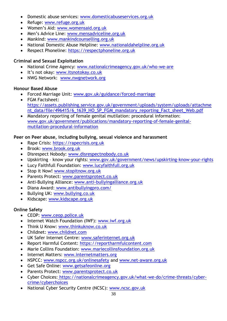- Domestic abuse services: [www.domesticabuseservices.org.uk](http://www.domesticabuseservices.org.uk/)
- Refuge: [www.refuge.org.uk](http://www.refuge.org.uk/)
- Women's Aid: [www.womensaid.org.uk](http://www.womensaid.org.uk/)
- Men's Advice Line: [www.mensadviceline.org.uk](http://www.mensadviceline.org.uk/)
- Mankind: [www.mankindcounselling.org.uk](http://www.mankindcounselling.org.uk/)
- National Domestic Abuse Helpline: [www.nationaldahelpline.org.uk](http://www.nationaldahelpline.org.uk/)
- Respect Phoneline: [https://respectphoneline.org.uk](https://respectphoneline.org.uk/)

#### **Criminal and Sexual Exploitation**

- National Crime Agency: [www.nationalcrimeagency.gov.uk/who-we-are](http://www.nationalcrimeagency.gov.uk/who-we-are)
- It's not okay: [www.itsnotokay.co.uk](http://www.itsnotokay.co.uk/)
- NWG Network: [www.nwgnetwork.org](http://www.nwgnetwork.org/)

#### **Honour Based Abuse**

- Forced Marriage Unit: [www.gov.uk/guidance/forced-marriage](http://www.gov.uk/guidance/forced-marriage)
- FGM Factsheet: [https://assets.publishing.service.gov.uk/government/uploads/system/uploads/attachme](https://assets.publishing.service.gov.uk/government/uploads/system/uploads/attachment_data/file/496415/6_1639_HO_SP_FGM_mandatory_reporting_Fact_sheet_Web.pdf) [nt\\_data/file/496415/6\\_1639\\_HO\\_SP\\_FGM\\_mandatory\\_reporting\\_Fact\\_sheet\\_Web.pdf](https://assets.publishing.service.gov.uk/government/uploads/system/uploads/attachment_data/file/496415/6_1639_HO_SP_FGM_mandatory_reporting_Fact_sheet_Web.pdf)
- Mandatory reporting of female genital mutilation: procedural information: [www.gov.uk/government/publications/mandatory-reporting-of-female-genital](http://www.gov.uk/government/publications/mandatory-reporting-of-female-genital-mutilation-procedural-information)[mutilation-procedural-information](http://www.gov.uk/government/publications/mandatory-reporting-of-female-genital-mutilation-procedural-information)

#### **Peer on Peer abuse, including bullying, sexual violence and harassment**

- Rape Crisis: [https://rapecrisis.org.uk](https://rapecrisis.org.uk/)
- Brook: [www.brook.org.uk](http://www.brook.org.uk/)
- Disrespect Nobody: [www.disrespectnobody.co.uk](http://www.disrespectnobody.co.uk/)
- Upskirting know your rights: [www.gov.uk/government/news/upskirting-know-your-rights](http://www.gov.uk/government/news/upskirting-know-your-rights)
- Lucy Faithfull Foundation: [www.lucyfaithfull.org.uk](http://www.lucyfaithfull.org.uk/)
- Stop it Now! [www.stopitnow.org.uk](http://www.stopitnow.org.uk/)
- Parents Protect: [www.parentsprotect.co.uk](http://www.parentsprotect.co.uk/)
- Anti-Bullying Alliance: [www.anti-bullyingalliance.org.uk](http://www.anti-bullyingalliance.org.uk/)
- Diana Award: [www.antibullyingpro.com/](http://www.antibullyingpro.com/)
- Bullying UK: [www.bullying.co.uk](http://www.bullying.co.uk/)
- Kidscape: [www.kidscape.org.uk](http://www.kidscape.org.uk/)

#### **Online Safety**

- CEOP: [www.ceop.police.uk](http://www.ceop.police.uk/)
- Internet Watch Foundation (IWF): [www.iwf.org.uk](http://www.iwf.org.uk/)
- Think U Know: [www.thinkuknow.co.uk](http://www.thinkuknow.co.uk/)
- Childnet: [www.childnet.com](http://www.childnet.com/)
- UK Safer Internet Centre: [www.saferinternet.org.uk](http://www.saferinternet.org.uk/)
- Report Harmful Content: [https://reportharmfulcontent.com](https://reportharmfulcontent.com/)
- Marie Collins Foundation: [www.mariecollinsfoundation.org.uk](http://www.mariecollinsfoundation.org.uk/)
- Internet Matters: [www.internetmatters.org](http://www.internetmatters.org/)
- NSPCC: [www.nspcc.org.uk/onlinesafety](http://www.nspcc.org.uk/onlinesafety) and [www.net-aware.org.uk](http://www.net-aware.org.uk/)
- Get Safe Online: [www.getsafeonline.org](https://www.getsafeonline.org/)
- Parents Protect: [www.parentsprotect.co.uk](http://www.parentsprotect.co.uk/)
- Cyber Choices: [https://nationalcrimeagency.gov.uk/what-we-do/crime-threats/cyber](https://nationalcrimeagency.gov.uk/what-we-do/crime-threats/cyber-crime/cyberchoices)[crime/cyberchoices](https://nationalcrimeagency.gov.uk/what-we-do/crime-threats/cyber-crime/cyberchoices)
- National Cyber Security Centre (NCSC): [www.ncsc.gov.uk](http://www.ncsc.gov.uk/)